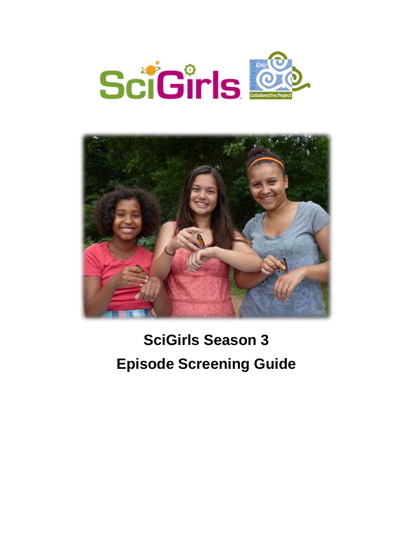



# **SciGirls Season 3 Episode Screening Guide**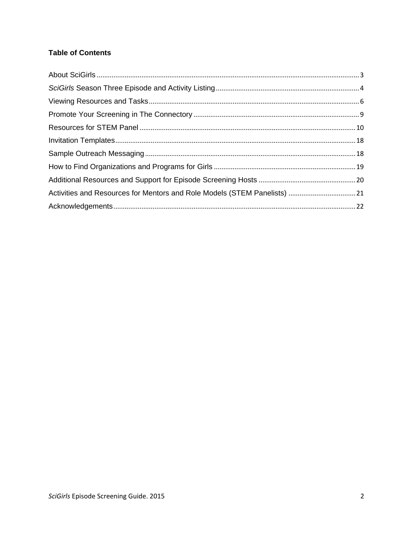# **Table of Contents**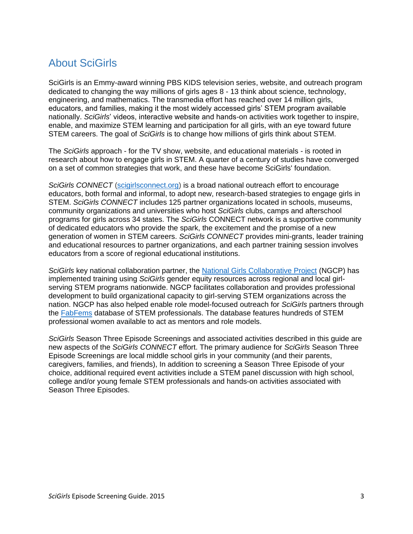# <span id="page-2-0"></span>About SciGirls

SciGirls is an Emmy-award winning PBS KIDS television series, website, and outreach program dedicated to changing the way millions of girls ages 8 - 13 think about science, technology, engineering, and mathematics. The transmedia effort has reached over 14 million girls, educators, and families, making it the most widely accessed girls' STEM program available nationally. *SciGirls*' videos, interactive website and hands-on activities work together to inspire, enable, and maximize STEM learning and participation for all girls, with an eye toward future STEM careers. The goal of *SciGirls* is to change how millions of girls think about STEM.

The *SciGirls* approach - for the TV show, website, and educational materials - is rooted in research about how to engage girls in STEM. A quarter of a century of studies have converged on a set of common strategies that work, and these have become SciGirls' foundation.

*SciGirls CONNECT* [\(scigirlsconnect.org\)](http://scigirlsconnect.org/) is a broad national outreach effort to encourage educators, both formal and informal, to adopt new, research-based strategies to engage girls in STEM. *SciGirls CONNECT* includes 125 partner organizations located in schools, museums, community organizations and universities who host *SciGirls* clubs, camps and afterschool programs for girls across 34 states. The *SciGirls* CONNECT network is a supportive community of dedicated educators who provide the spark, the excitement and the promise of a new generation of women in STEM careers. *SciGirls CONNECT* provides mini-grants, leader training and educational resources to partner organizations, and each partner training session involves educators from a score of regional educational institutions.

*SciGirls* key national collaboration partner, the [National Girls Collaborative Project](http://www.ngcproject.org/) (NGCP) has implemented training using *SciGirls* gender equity resources across regional and local girlserving STEM programs nationwide. NGCP facilitates collaboration and provides professional development to build organizational capacity to girl-serving STEM organizations across the nation. NGCP has also helped enable role model-focused outreach for *SciGirls* partners through the [FabFems](http://www.fabfems.org/) database of STEM professionals. The database features hundreds of STEM professional women available to act as mentors and role models.

*SciGirls* Season Three Episode Screenings and associated activities described in this guide are new aspects of the *SciGirls CONNECT* effort. The primary audience for *SciGirls* Season Three Episode Screenings are local middle school girls in your community (and their parents, caregivers, families, and friends), In addition to screening a Season Three Episode of your choice, additional required event activities include a STEM panel discussion with high school, college and/or young female STEM professionals and hands-on activities associated with Season Three Episodes.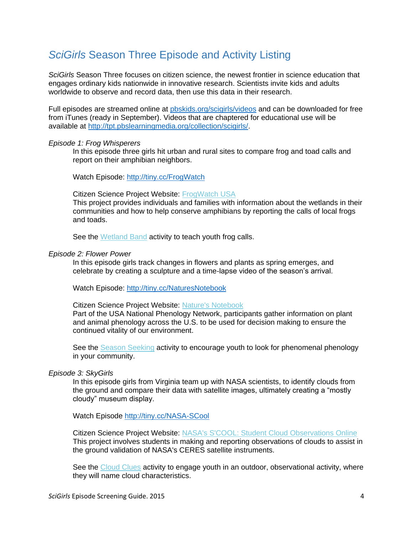# <span id="page-3-0"></span>*SciGirls* Season Three Episode and Activity Listing

*SciGirls* Season Three focuses on citizen science, the newest frontier in science education that engages ordinary kids nationwide in innovative research. Scientists invite kids and adults worldwide to observe and record data, then use this data in their research.

Full episodes are streamed online at [pbskids.org/scigirls/videos](http://pbskidsgo.org/scigirls/video) and can be downloaded for free from iTunes (ready in September). Videos that are chaptered for educational use will be available at [http://tpt.pbslearningmedia.org/collection/scigirls/.](http://tpt.pbslearningmedia.org/collection/scigirls/)

#### *Episode 1: Frog Whisperers*

In this episode three girls hit urban and rural sites to compare frog and toad calls and report on their amphibian neighbors.

Watch Episode: <http://tiny.cc/FrogWatch>

Citizen Science Project Website: [FrogWatch USA](http://scigirlsconnect.us8.list-manage1.com/track/click?u=c75f91038f6323c7c35957c76&id=c90966ca7f&e=b78a68da80)

This project provides individuals and families with information about the wetlands in their communities and how to help conserve amphibians by reporting the calls of local frogs and toads.

See the [Wetland Band](http://scigirlsconnect.us8.list-manage1.com/track/click?u=c75f91038f6323c7c35957c76&id=8495134978&e=cc7ad5b8c2) activity to teach youth frog calls.

#### *Episode 2: Flower Power*

In this episode girls track changes in flowers and plants as spring emerges, and celebrate by creating a sculpture and a time-lapse video of the season's arrival.

Watch Episode: <http://tiny.cc/NaturesNotebook>

Citizen Science Project Website: [Nature's Notebook](http://scigirlsconnect.us8.list-manage2.com/track/click?u=c75f91038f6323c7c35957c76&id=a92a4efc0b&e=b78a68da80)

Part of the USA National Phenology Network, participants gather information on plant and animal phenology across the U.S. to be used for decision making to ensure the continued vitality of our environment.

See the **Season Seeking activity to encourage youth to look for phenomenal phenology** in your community.

#### *Episode 3: SkyGirls*

In this episode girls from Virginia team up with NASA scientists, to identify clouds from the ground and compare their data with satellite images, ultimately creating a "mostly cloudy" museum display.

Watch Episode<http://tiny.cc/NASA-SCool>

Citizen Science Project Website: [NASA's S'COOL: Student Cloud Observations Online](http://scigirlsconnect.us8.list-manage2.com/track/click?u=c75f91038f6323c7c35957c76&id=3cdbd9c760&e=b78a68da80) This project involves students in making and reporting observations of clouds to assist in the ground validation of NASA's CERES satellite instruments.

See the [Cloud Clues](http://scigirlsconnect.us8.list-manage.com/track/click?u=c75f91038f6323c7c35957c76&id=4e5ea47b63&e=cc7ad5b8c2) activity to engage youth in an outdoor, observational activity, where they will name cloud characteristics.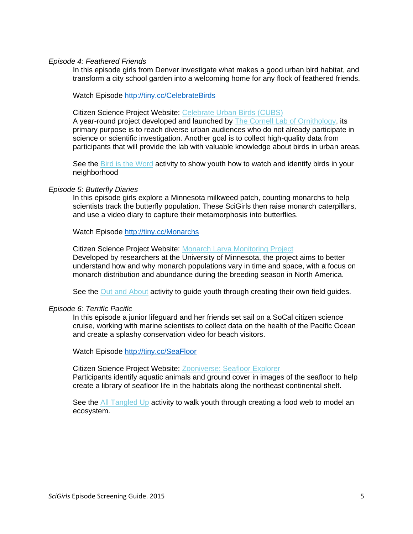#### *Episode 4: Feathered Friends*

In this episode girls from Denver investigate what makes a good urban bird habitat, and transform a city school garden into a welcoming home for any flock of feathered friends.

Watch Episode <http://tiny.cc/CelebrateBirds>

Citizen Science Project Website: [Celebrate Urban Birds](http://scigirlsconnect.us8.list-manage.com/track/click?u=c75f91038f6323c7c35957c76&id=15e5a11021&e=b78a68da80) [\(CUBS\)](http://scigirlsconnect.us8.list-manage.com/track/click?u=c75f91038f6323c7c35957c76&id=15e5a11021&e=b78a68da80)

A year-round project developed and launched by **The Cornell Lab of Ornithology**, its primary purpose is to reach diverse urban audiences who do not already participate in science or scientific investigation. Another goal is to collect high-quality data from participants that will provide the lab with valuable knowledge about birds in urban areas.

See the [Bird is the Word](http://scigirlsconnect.us8.list-manage.com/track/click?u=c75f91038f6323c7c35957c76&id=3d3f386f8a&e=cc7ad5b8c2) activity to show youth how to watch and identify birds in your neighborhood

#### *Episode 5: Butterfly Diaries*

In this episode girls explore a Minnesota milkweed patch, counting monarchs to help scientists track the butterfly population. These SciGirls then raise monarch caterpillars, and use a video diary to capture their metamorphosis into butterflies.

Watch Episode <http://tiny.cc/Monarchs>

Citizen Science Project Website: [Monarch Larva Monitoring Project](http://scigirlsconnect.us8.list-manage.com/track/click?u=c75f91038f6323c7c35957c76&id=ab01dd6bd0&e=b78a68da80) Developed by researchers at the University of Minnesota, the project aims to better understand how and why monarch populations vary in time and space, with a focus on monarch distribution and abundance during the breeding season in North America.

See the [Out and About](http://scigirlsconnect.us8.list-manage2.com/track/click?u=c75f91038f6323c7c35957c76&id=1090b8a3a4&e=cc7ad5b8c2) activity to guide youth through creating their own field guides.

#### *Episode 6: Terrific Pacific*

In this episode a junior lifeguard and her friends set sail on a SoCal citizen science cruise, working with marine scientists to collect data on the health of the Pacific Ocean and create a splashy conservation video for beach visitors.

Watch Episode<http://tiny.cc/SeaFloor>

Citizen Science Project Website: [Zooniverse: Seafloor Explorer](http://scigirlsconnect.us8.list-manage.com/track/click?u=c75f91038f6323c7c35957c76&id=383f9dd17d&e=b78a68da80) Participants identify aquatic animals and ground cover in images of the seafloor to help create a library of seafloor life in the habitats along the northeast continental shelf.

See the [All Tangled Up](http://scigirlsconnect.us8.list-manage1.com/track/click?u=c75f91038f6323c7c35957c76&id=33910328db&e=cc7ad5b8c2) activity to walk youth through creating a food web to model an ecosystem.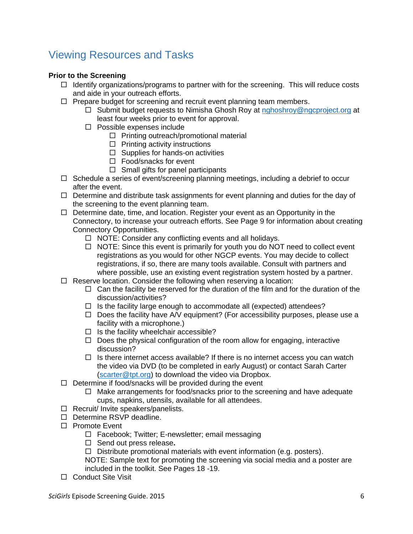# <span id="page-5-0"></span>Viewing Resources and Tasks

# **Prior to the Screening**

- $\Box$  Identify organizations/programs to partner with for the screening. This will reduce costs and aide in your outreach efforts.
- $\Box$  Prepare budget for screening and recruit event planning team members.
	- $\Box$  Submit budget requests to Nimisha Ghosh Roy at [nghoshroy@ngcproject.org](mailto:nghoshroy@ngcproject.org) at least four weeks prior to event for approval.
	- $\Box$  Possible expenses include
		- $\Box$  Printing outreach/promotional material
		- $\Box$  Printing activity instructions
		- $\square$  Supplies for hands-on activities
		- □ Food/snacks for event
		- $\Box$  Small gifts for panel participants
- $\Box$  Schedule a series of event/screening planning meetings, including a debrief to occur after the event.
- $\Box$  Determine and distribute task assignments for event planning and duties for the day of the screening to the event planning team.
- $\Box$  Determine date, time, and location. Register your event as an Opportunity in the Connectory, to increase your outreach efforts. See Page 9 for information about creating Connectory Opportunities.
	- $\Box$  NOTE: Consider any conflicting events and all holidays.
	- $\Box$  NOTE: Since this event is primarily for youth you do NOT need to collect event registrations as you would for other NGCP events. You may decide to collect registrations, if so, there are many tools available. Consult with partners and where possible, use an existing event registration system hosted by a partner.
- $\Box$  Reserve location. Consider the following when reserving a location:
	- $\Box$  Can the facility be reserved for the duration of the film and for the duration of the discussion/activities?
	- $\Box$  Is the facility large enough to accommodate all (expected) attendees?
	- $\Box$  Does the facility have A/V equipment? (For accessibility purposes, please use a facility with a microphone.)
	- $\Box$  Is the facility wheelchair accessible?
	- $\Box$  Does the physical configuration of the room allow for engaging, interactive discussion?
	- $\Box$  Is there internet access available? If there is no internet access you can watch the video via DVD (to be completed in early August) or contact Sarah Carter [\(scarter@tpt.org\)](mailto:scarter@tpt.org) to download the video via Dropbox.
- $\Box$  Determine if food/snacks will be provided during the event
	- $\Box$  Make arrangements for food/snacks prior to the screening and have adequate cups, napkins, utensils, available for all attendees.
- $\Box$  Recruit/ Invite speakers/panelists.
- Determine RSVP deadline.
- □ Promote Event
	- $\Box$  Facebook; Twitter; E-newsletter; email messaging
	- □ Send out press release.
	- $\Box$  Distribute promotional materials with event information (e.g. posters).

NOTE: Sample text for promoting the screening via social media and a poster are included in the toolkit. See Pages 18 -19.

□ Conduct Site Visit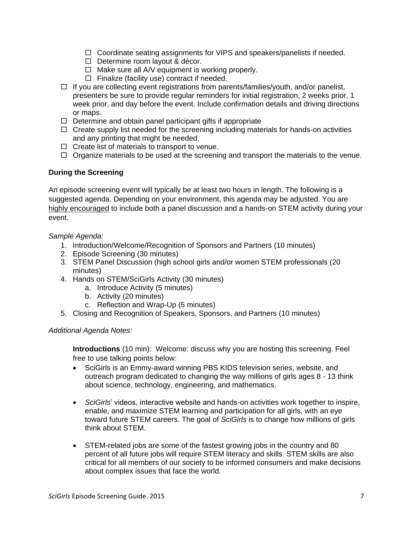- $\Box$  Coordinate seating assignments for VIPS and speakers/panelists if needed.
- D Determine room layout & décor.
- $\Box$  Make sure all A/V equipment is working properly.
- $\Box$  Finalize (facility use) contract if needed.
- $\Box$  If you are collecting event registrations from parents/families/youth, and/or panelist, presenters be sure to provide regular reminders for initial registration, 2 weeks prior, 1 week prior, and day before the event. Include confirmation details and driving directions or maps.
- $\Box$  Determine and obtain panel participant gifts if appropriate
- $\Box$  Create supply list needed for the screening including materials for hands-on activities and any printing that might be needed.
- $\Box$  Create list of materials to transport to venue.
- $\Box$  Organize materials to be used at the screening and transport the materials to the venue.

### **During the Screening**

An episode screening event will typically be at least two hours in length. The following is a suggested agenda. Depending on your environment, this agenda may be adjusted. You are highly encouraged to include both a panel discussion and a hands-on STEM activity during your event.

### *Sample Agenda:*

- 1. Introduction/Welcome/Recognition of Sponsors and Partners (10 minutes)
- 2. Episode Screening (30 minutes)
- 3. STEM Panel Discussion (high school girls and/or women STEM professionals (20 minutes)
- 4. Hands on STEM/SciGirls Activity (30 minutes)
	- a. Introduce Activity (5 minutes)
	- b. Activity (20 minutes)
	- c. Reflection and Wrap-Up (5 minutes)
- 5. Closing and Recognition of Speakers, Sponsors, and Partners (10 minutes)

### *Additional Agenda Notes:*

**Introductions** (10 min): Welcome: discuss why you are hosting this screening. Feel free to use talking points below:

- SciGirls is an Emmy-award winning PBS KIDS television series, website, and outreach program dedicated to changing the way millions of girls ages 8 - 13 think about science, technology, engineering, and mathematics.
- SciGirls' videos, interactive website and hands-on activities work together to inspire, enable, and maximize STEM learning and participation for all girls, with an eye toward future STEM careers. The goal of *SciGirls* is to change how millions of girls think about STEM.
- STEM-related jobs are some of the fastest growing jobs in the country and 80 percent of all future jobs will require STEM literacy and skills. STEM skills are also critical for all members of our society to be informed consumers and make decisions about complex issues that face the world.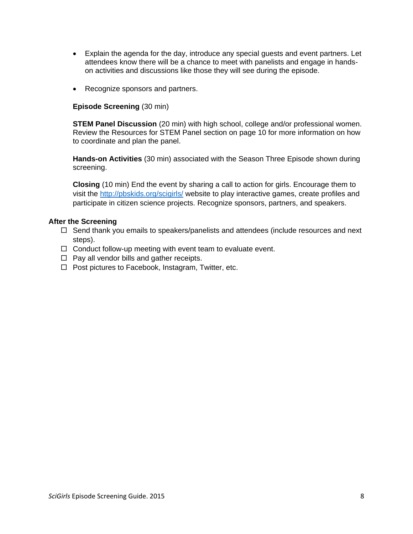- Explain the agenda for the day, introduce any special guests and event partners. Let attendees know there will be a chance to meet with panelists and engage in handson activities and discussions like those they will see during the episode.
- Recognize sponsors and partners.

### **Episode Screening** (30 min)

**STEM Panel Discussion** (20 min) with high school, college and/or professional women. Review the Resources for STEM Panel section on page 10 for more information on how to coordinate and plan the panel.

**Hands-on Activities** (30 min) associated with the Season Three Episode shown during screening.

**Closing** (10 min) End the event by sharing a call to action for girls. Encourage them to visit the<http://pbskids.org/scigirls/> website to play interactive games, create profiles and participate in citizen science projects. Recognize sponsors, partners, and speakers.

### **After the Screening**

- $\Box$  Send thank you emails to speakers/panelists and attendees (include resources and next steps).
- $\Box$  Conduct follow-up meeting with event team to evaluate event.
- $\Box$  Pay all vendor bills and gather receipts.
- $\Box$  Post pictures to Facebook, Instagram, Twitter, etc.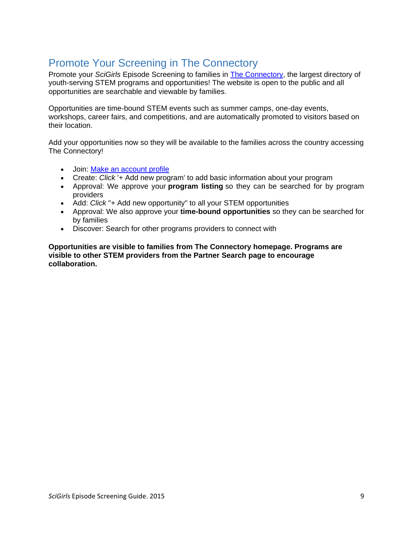# <span id="page-8-0"></span>Promote Your Screening in The Connectory

Promote your *SciGirls* Episode Screening to families in [The Connectory,](http://r20.rs6.net/tn.jsp?e=001wW610fcASM3ZoBbQ9IJFC1rDrL0b15kOl4-D3VjI3W1UoAvw08tRWkPmxz6BNDNzG5PAS1hZx49O25oCAAIy5ykJwHKcq1BsH0SmyLRs4ayuEyS65ff1Bg==) the largest directory of youth-serving STEM programs and opportunities! The website is open to the public and all opportunities are searchable and viewable by families.

Opportunities are time-bound STEM events such as summer camps, one-day events, workshops, career fairs, and competitions, and are automatically promoted to visitors based on their location.

Add your opportunities now so they will be available to the families across the country accessing The Connectory!

- Join: [Make an account profile](http://r20.rs6.net/tn.jsp?e=001wW610fcASM3ZoBbQ9IJFC1rDrL0b15kOl4-D3VjI3W1UoAvw08tRWkPmxz6BNDNzG5PAS1hZx49O25oCAAIy5ykJwHKcq1BsH0SmyLRs4azgfleI4KGffJO1IZ3d32nEeiK3hatuBpM=)
- Create: *Click* '+ Add new program' to add basic information about your program
- Approval: We approve your **program listing** so they can be searched for by program providers
- Add: *Click* "+ Add new opportunity" to all your STEM opportunities
- Approval: We also approve your **time-bound opportunities** so they can be searched for by families
- Discover: Search for other programs providers to connect with

**Opportunities are visible to families from The Connectory homepage. Programs are visible to other STEM providers from the Partner Search page to encourage collaboration.**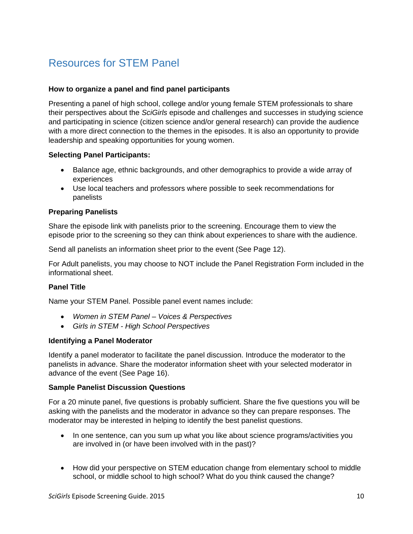# <span id="page-9-0"></span>Resources for STEM Panel

# **How to organize a panel and find panel participants**

Presenting a panel of high school, college and/or young female STEM professionals to share their perspectives about the *SciGirls* episode and challenges and successes in studying science and participating in science (citizen science and/or general research) can provide the audience with a more direct connection to the themes in the episodes. It is also an opportunity to provide leadership and speaking opportunities for young women.

# **Selecting Panel Participants:**

- Balance age, ethnic backgrounds, and other demographics to provide a wide array of experiences
- Use local teachers and professors where possible to seek recommendations for panelists

# **Preparing Panelists**

Share the episode link with panelists prior to the screening. Encourage them to view the episode prior to the screening so they can think about experiences to share with the audience.

Send all panelists an information sheet prior to the event (See Page 12).

For Adult panelists, you may choose to NOT include the Panel Registration Form included in the informational sheet.

# **Panel Title**

Name your STEM Panel. Possible panel event names include:

- *Women in STEM Panel – Voices & Perspectives*
- *Girls in STEM - High School Perspectives*

### **Identifying a Panel Moderator**

Identify a panel moderator to facilitate the panel discussion. Introduce the moderator to the panelists in advance. Share the moderator information sheet with your selected moderator in advance of the event (See Page 16).

### **Sample Panelist Discussion Questions**

For a 20 minute panel, five questions is probably sufficient. Share the five questions you will be asking with the panelists and the moderator in advance so they can prepare responses. The moderator may be interested in helping to identify the best panelist questions.

- In one sentence, can you sum up what you like about science programs/activities you are involved in (or have been involved with in the past)?
- How did your perspective on STEM education change from elementary school to middle school, or middle school to high school? What do you think caused the change?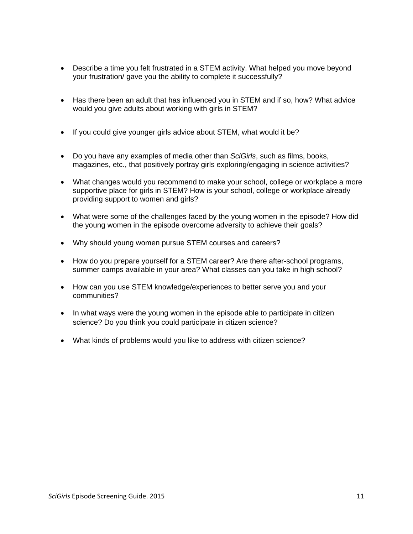- Describe a time you felt frustrated in a STEM activity. What helped you move beyond your frustration/ gave you the ability to complete it successfully?
- Has there been an adult that has influenced you in STEM and if so, how? What advice would you give adults about working with girls in STEM?
- If you could give younger girls advice about STEM, what would it be?
- Do you have any examples of media other than *SciGirls*, such as films, books, magazines, etc., that positively portray girls exploring/engaging in science activities?
- What changes would you recommend to make your school, college or workplace a more supportive place for girls in STEM? How is your school, college or workplace already providing support to women and girls?
- What were some of the challenges faced by the young women in the episode? How did the young women in the episode overcome adversity to achieve their goals?
- Why should young women pursue STEM courses and careers?
- How do you prepare yourself for a STEM career? Are there after-school programs, summer camps available in your area? What classes can you take in high school?
- How can you use STEM knowledge/experiences to better serve you and your communities?
- In what ways were the young women in the episode able to participate in citizen science? Do you think you could participate in citizen science?
- What kinds of problems would you like to address with citizen science?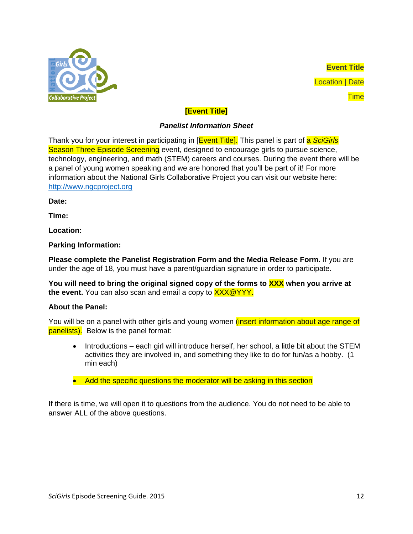

**Event Title** Location | Date **Time** 

# **[Event Title]**

# *Panelist Information Sheet*

Thank you for your interest in participating in [Event Title]. This panel is part of a *SciGirls* Season Three Episode Screening event, designed to encourage girls to pursue science, technology, engineering, and math (STEM) careers and courses. During the event there will be a panel of young women speaking and we are honored that you'll be part of it! For more information about the National Girls Collaborative Project you can visit our website here: [http://www.ngcproject.org](http://www.ngcproject.org/collaborative/pacific-northwest-girls-collaborative-project)

**Date:** 

**Time:** 

**Location:**

**Parking Information:**

**Please complete the Panelist Registration Form and the Media Release Form.** If you are under the age of 18, you must have a parent/guardian signature in order to participate.

**You will need to bring the original signed copy of the forms to XXX when you arrive at**  the event. You can also scan and email a copy to **XXX@YYY.** 

# **About the Panel:**

You will be on a panel with other girls and young women *(insert information about age range of* panelists). Below is the panel format:

- Introductions each girl will introduce herself, her school, a little bit about the STEM activities they are involved in, and something they like to do for fun/as a hobby. (1 min each)
- Add the specific questions the moderator will be asking in this section

If there is time, we will open it to questions from the audience. You do not need to be able to answer ALL of the above questions.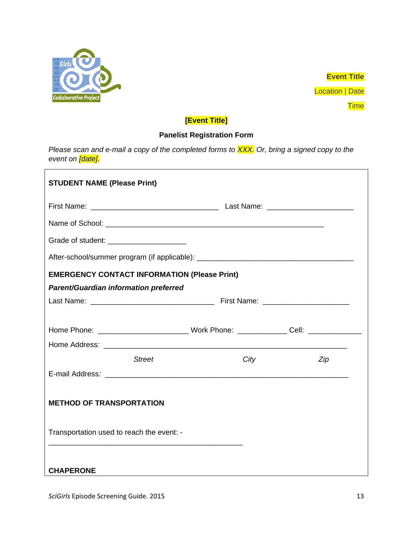

**Event Title Location | Date** 

**Time** 

# **[Event Title]**

# **Panelist Registration Form**

*Please scan and e-mail a copy of the completed forms to XXX. Or, bring a signed copy to the event on [date].* 

| <b>STUDENT NAME (Please Print)</b>                                                                  |               |  |      |  |     |
|-----------------------------------------------------------------------------------------------------|---------------|--|------|--|-----|
|                                                                                                     |               |  |      |  |     |
|                                                                                                     |               |  |      |  |     |
| Grade of student: _______________________                                                           |               |  |      |  |     |
|                                                                                                     |               |  |      |  |     |
| <b>EMERGENCY CONTACT INFORMATION (Please Print)</b>                                                 |               |  |      |  |     |
| <b>Parent/Guardian information preferred</b>                                                        |               |  |      |  |     |
|                                                                                                     |               |  |      |  |     |
|                                                                                                     |               |  |      |  |     |
| Home Phone: _______________________________ Work Phone: _______________ Cell: _____________________ |               |  |      |  |     |
|                                                                                                     |               |  |      |  |     |
|                                                                                                     | <b>Street</b> |  | City |  | Zip |
|                                                                                                     |               |  |      |  |     |
| <b>METHOD OF TRANSPORTATION</b>                                                                     |               |  |      |  |     |
| Transportation used to reach the event: -                                                           |               |  |      |  |     |
| <b>CHAPERONE</b>                                                                                    |               |  |      |  |     |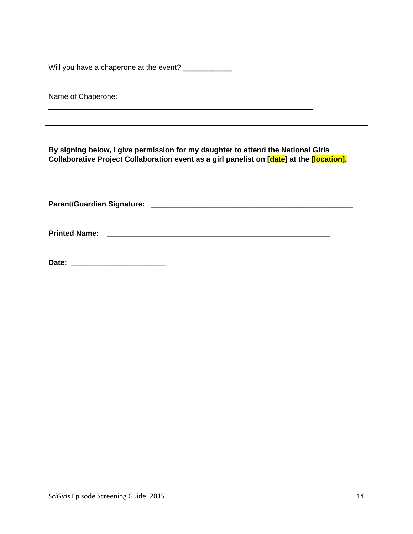|  | Will you have a chaperone at the event? |  |
|--|-----------------------------------------|--|
|  |                                         |  |

Name of Chaperone:

**By signing below, I give permission for my daughter to attend the National Girls Collaborative Project Collaboration event as a girl panelist on [date] at the [location].**

\_\_\_\_\_\_\_\_\_\_\_\_\_\_\_\_\_\_\_\_\_\_\_\_\_\_\_\_\_\_\_\_\_\_\_\_\_\_\_\_\_\_\_\_\_\_\_\_\_\_\_\_\_\_\_\_\_\_\_\_\_\_\_\_

| <b>Printed Name:</b> |  |
|----------------------|--|
|                      |  |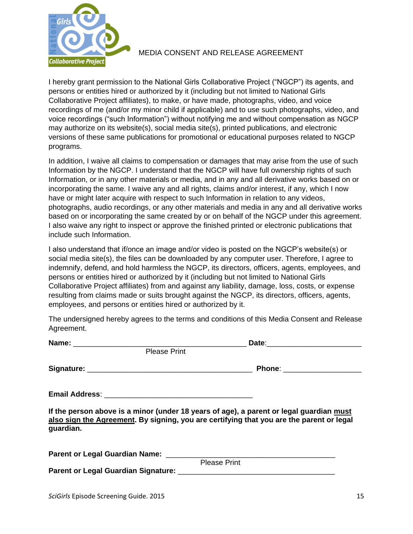

# MEDIA CONSENT AND RELEASE AGREEMENT

I hereby grant permission to the National Girls Collaborative Project ("NGCP") its agents, and persons or entities hired or authorized by it (including but not limited to National Girls Collaborative Project affiliates), to make, or have made, photographs, video, and voice recordings of me (and/or my minor child if applicable) and to use such photographs, video, and voice recordings ("such Information") without notifying me and without compensation as NGCP may authorize on its website(s), social media site(s), printed publications, and electronic versions of these same publications for promotional or educational purposes related to NGCP programs.

In addition, I waive all claims to compensation or damages that may arise from the use of such Information by the NGCP. I understand that the NGCP will have full ownership rights of such Information, or in any other materials or media, and in any and all derivative works based on or incorporating the same. I waive any and all rights, claims and/or interest, if any, which I now have or might later acquire with respect to such Information in relation to any videos, photographs, audio recordings, or any other materials and media in any and all derivative works based on or incorporating the same created by or on behalf of the NGCP under this agreement. I also waive any right to inspect or approve the finished printed or electronic publications that include such Information.

I also understand that if/once an image and/or video is posted on the NGCP's website(s) or social media site(s), the files can be downloaded by any computer user. Therefore, I agree to indemnify, defend, and hold harmless the NGCP, its directors, officers, agents, employees, and persons or entities hired or authorized by it (including but not limited to National Girls Collaborative Project affiliates) from and against any liability, damage, loss, costs, or expense resulting from claims made or suits brought against the NGCP, its directors, officers, agents, employees, and persons or entities hired or authorized by it.

The undersigned hereby agrees to the terms and conditions of this Media Consent and Release Agreement.

| <b>Please Print</b> |                                                                                                                                                                                     |  |  |
|---------------------|-------------------------------------------------------------------------------------------------------------------------------------------------------------------------------------|--|--|
|                     |                                                                                                                                                                                     |  |  |
|                     |                                                                                                                                                                                     |  |  |
| guardian.           | If the person above is a minor (under 18 years of age), a parent or legal guardian must<br>also sign the Agreement. By signing, you are certifying that you are the parent or legal |  |  |
|                     |                                                                                                                                                                                     |  |  |
|                     | <b>Please Print</b>                                                                                                                                                                 |  |  |
|                     |                                                                                                                                                                                     |  |  |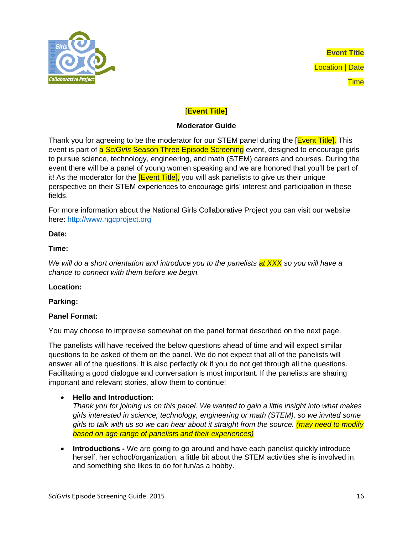

**Event Title** Location | Date **Time** 

# [**Event Title]**

# **Moderator Guide**

Thank you for agreeing to be the moderator for our STEM panel during the **[Event Title]**. This event is part of a *SciGirls* Season Three Episode Screening event, designed to encourage girls to pursue science, technology, engineering, and math (STEM) careers and courses. During the event there will be a panel of young women speaking and we are honored that you'll be part of it! As the moderator for the **[Event Title]**, you will ask panelists to give us their unique perspective on their STEM experiences to encourage girls' interest and participation in these fields.

For more information about the National Girls Collaborative Project you can visit our website here: [http://www.ngcproject.org](http://www.ngcproject.org/collaborative/pacific-northwest-girls-collaborative-project)

# **Date:**

# **Time:**

*We will do a short orientation and introduce you to the panelists at XXX so you will have a chance to connect with them before we begin.* 

### **Location:**

# **Parking:**

# **Panel Format:**

You may choose to improvise somewhat on the panel format described on the next page.

The panelists will have received the below questions ahead of time and will expect similar questions to be asked of them on the panel. We do not expect that all of the panelists will answer all of the questions. It is also perfectly ok if you do not get through all the questions. Facilitating a good dialogue and conversation is most important. If the panelists are sharing important and relevant stories, allow them to continue!

### **Hello and Introduction:**

*Thank you for joining us on this panel. We wanted to gain a little insight into what makes girls interested in science, technology, engineering or math (STEM), so we invited some girls to talk with us so we can hear about it straight from the source. (may need to modify based on age range of panelists and their experiences)*

 **Introductions -** We are going to go around and have each panelist quickly introduce herself, her school/organization, a little bit about the STEM activities she is involved in, and something she likes to do for fun/as a hobby.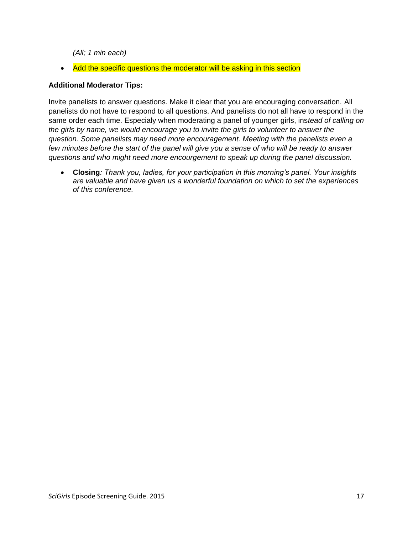*(All; 1 min each)* 

• Add the specific questions the moderator will be asking in this section

### **Additional Moderator Tips:**

Invite panelists to answer questions. Make it clear that you are encouraging conversation. All panelists do not have to respond to all questions. And panelists do not all have to respond in the same order each time. Especialy when moderating a panel of younger girls, ins*tead of calling on the girls by name, we would encourage you to invite the girls to volunteer to answer the question. Some panelists may need more encouragement. Meeting with the panelists even a few minutes before the start of the panel will give you a sense of who will be ready to answer questions and who might need more encourgement to speak up during the panel discussion.* 

 **Closing***: Thank you, ladies, for your participation in this morning's panel. Your insights are valuable and have given us a wonderful foundation on which to set the experiences of this conference.*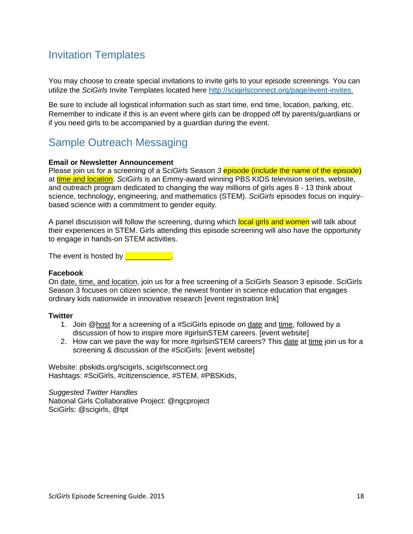# <span id="page-17-0"></span>Invitation Templates

You may choose to create special invitations to invite girls to your episode screenings. You can utilize the *SciGirls* Invite Templates located here [http://scigirlsconnect.org/page/event-invites.](http://scigirlsconnect.org/page/event-invites)

Be sure to include all logistical information such as start time, end time, location, parking, etc. Remember to indicate if this is an event where girls can be dropped off by parents/guardians or if you need girls to be accompanied by a guardian during the event.

# <span id="page-17-1"></span>Sample Outreach Messaging

### **Email or Newsletter Announcement**

Please join us for a screening of a S*ciGirls* Season *3* episode (include the name of the episode) at time and location. *SciGirls* is an Emmy-award winning PBS KIDS television series, website, and outreach program dedicated to changing the way millions of girls ages 8 - 13 think about science, technology, engineering, and mathematics (STEM). *SciGirls* episodes focus on inquirybased science with a commitment to gender equity*.*

A panel discussion will follow the screening, during which local girls and women will talk about their experiences in STEM. Girls attending this episode screening will also have the opportunity to engage in hands-on STEM activities.

The event is hosted by **Election** 

### **Facebook**

On date, time, and location, join us for a free screening of a SciGirls Season 3 episode. SciGirls Season 3 focuses on citizen science, the newest frontier in science education that engages ordinary kids nationwide in innovative research [event registration link]

### **Twitter**

- 1. Join @host for a screening of a #SciGirls episode on date and time, followed by a discussion of how to inspire more #girlsinSTEM careers. [event website]
- 2. How can we pave the way for more #girlsinSTEM careers? This date at time join us for a screening & discussion of the #SciGirls: [event website]

Website: pbskids.org/scigirls, scigirlsconnect.org Hashtags: #SciGirls, #citizenscience, #STEM, #PBSKids,

*Suggested Twitter Handles* National Girls Collaborative Project: @ngcproject SciGirls: @scigirls, @tpt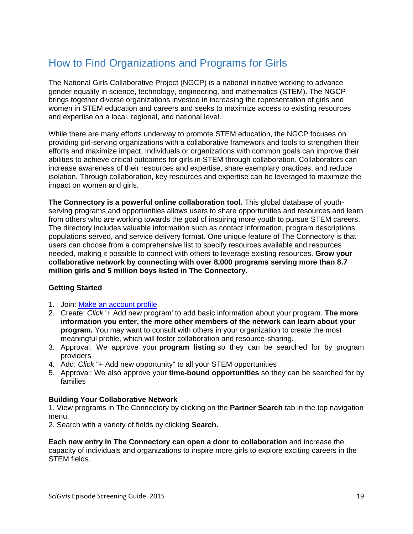# <span id="page-18-0"></span>How to Find Organizations and Programs for Girls

The National Girls Collaborative Project (NGCP) is a national initiative working to advance gender equality in science, technology, engineering, and mathematics (STEM). The NGCP brings together diverse organizations invested in increasing the representation of girls and women in STEM education and careers and seeks to maximize access to existing resources and expertise on a local, regional, and national level.

While there are many efforts underway to promote STEM education, the NGCP focuses on providing girl-serving organizations with a collaborative framework and tools to strengthen their efforts and maximize impact. Individuals or organizations with common goals can improve their abilities to achieve critical outcomes for girls in STEM through collaboration. Collaborators can increase awareness of their resources and expertise, share exemplary practices, and reduce isolation. Through collaboration, key resources and expertise can be leveraged to maximize the impact on women and girls.

**The Connectory is a powerful online collaboration tool.** This global database of youthserving programs and opportunities allows users to share opportunities and resources and learn from others who are working towards the goal of inspiring more youth to pursue STEM careers. The directory includes valuable information such as contact information, program descriptions, populations served, and service delivery format. One unique feature of The Connectory is that users can choose from a comprehensive list to specify resources available and resources needed, making it possible to connect with others to leverage existing resources. **Grow your collaborative network by connecting with over 8,000 programs serving more than 8.7 million girls and 5 million boys listed in The Connectory.**

# **Getting Started**

- 1. Join: [Make an account profile](http://r20.rs6.net/tn.jsp?e=001wW610fcASM3ZoBbQ9IJFC1rDrL0b15kOl4-D3VjI3W1UoAvw08tRWkPmxz6BNDNzG5PAS1hZx49O25oCAAIy5ykJwHKcq1BsH0SmyLRs4azgfleI4KGffJO1IZ3d32nEeiK3hatuBpM=)
- 2. Create: *Click* '+ Add new program' to add basic information about your program. **The more information you enter, the more other members of the network can learn about your program.** You may want to consult with others in your organization to create the most meaningful profile, which will foster collaboration and resource-sharing.
- 3. Approval: We approve your **program listing** so they can be searched for by program providers
- 4. Add: *Click* "+ Add new opportunity" to all your STEM opportunities
- 5. Approval: We also approve your **time-bound opportunities** so they can be searched for by families

### **Building Your Collaborative Network**

1. View programs in The Connectory by clicking on the **Partner Search** tab in the top navigation menu.

2. Search with a variety of fields by clicking **Search.**

**Each new entry in The Connectory can open a door to collaboration** and increase the capacity of individuals and organizations to inspire more girls to explore exciting careers in the STEM fields.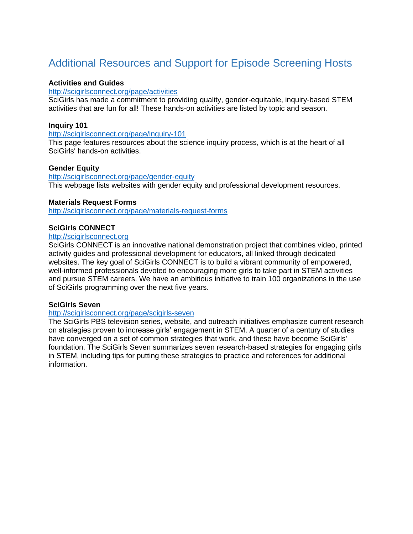# <span id="page-19-0"></span>Additional Resources and Support for Episode Screening Hosts

### **Activities and Guides**

### <http://scigirlsconnect.org/page/activities>

SciGirls has made a commitment to providing quality, gender-equitable, inquiry-based STEM activities that are fun for all! These hands-on activities are listed by topic and season.

### **Inquiry 101**

<http://scigirlsconnect.org/page/inquiry-101>

This page features resources about the science inquiry process, which is at the heart of all SciGirls' hands-on activities.

### **Gender Equity**

# <http://scigirlsconnect.org/page/gender-equity>

This webpage lists websites with gender equity and professional development resources.

#### **Materials Request Forms**

<http://scigirlsconnect.org/page/materials-request-forms>

### **SciGirls CONNECT**

#### [http://scigirlsconnect.org](http://scigirlsconnect.org/)

SciGirls CONNECT is an innovative national demonstration project that combines video, printed activity guides and professional development for educators, all linked through dedicated websites. The key goal of SciGirls CONNECT is to build a vibrant community of empowered, well-informed professionals devoted to encouraging more girls to take part in STEM activities and pursue STEM careers. We have an ambitious initiative to train 100 organizations in the use of SciGirls programming over the next five years.

### **SciGirls Seven**

### <http://scigirlsconnect.org/page/scigirls-seven>

The SciGirls PBS television series, website, and outreach initiatives emphasize current research on strategies proven to increase girls' engagement in STEM. A quarter of a century of studies have converged on a set of common strategies that work, and these have become SciGirls' foundation. The SciGirls Seven summarizes seven research-based strategies for engaging girls in STEM, including tips for putting these strategies to practice and references for additional information.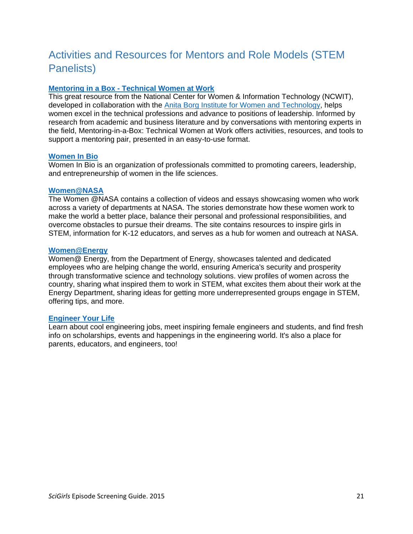# <span id="page-20-0"></span>Activities and Resources for Mentors and Role Models (STEM Panelists)

# **Mentoring in a Box - [Technical Women at Work](http://www.ncwit.org/resources/mentoring-box-technical-women-work)**

This great resource from the National Center for Women & Information Technology (NCWIT), developed in collaboration with the [Anita Borg Institute for Women and Technology,](http://anitaborg.org/) helps women excel in the technical professions and advance to positions of leadership. Informed by research from academic and business literature and by conversations with mentoring experts in the field, Mentoring-in-a-Box: Technical Women at Work offers activities, resources, and tools to support a mentoring pair, presented in an easy-to-use format.

### **[Women In Bio](http://womeninbio.org/)**

Women In Bio is an organization of professionals committed to promoting careers, leadership, and entrepreneurship of women in the life sciences.

#### **[Women@NASA](http://women.nasa.gov/)**

The Women @NASA contains a collection of videos and essays showcasing women who work across a variety of departments at NASA. The stories demonstrate how these women work to make the world a better place, balance their personal and professional responsibilities, and overcome obstacles to pursue their dreams. The site contains resources to inspire girls in STEM, information for K-12 educators, and serves as a hub for women and outreach at NASA.

#### **[Women@Energy](http://energy.gov/diversity/listings/women-energy)**

Women@ Energy, from the Department of Energy, showcases talented and dedicated employees who are helping change the world, ensuring America's security and prosperity through transformative science and technology solutions. view profiles of women across the country, sharing what inspired them to work in STEM, what excites them about their work at the Energy Department, sharing ideas for getting more underrepresented groups engage in STEM, offering tips, and more.

### **[Engineer Your Life](http://engineeryourlife.org/)**

Learn about cool engineering jobs, meet inspiring female engineers and students, and find fresh info on scholarships, events and happenings in the engineering world. It's also a place for parents, educators, and engineers, too!